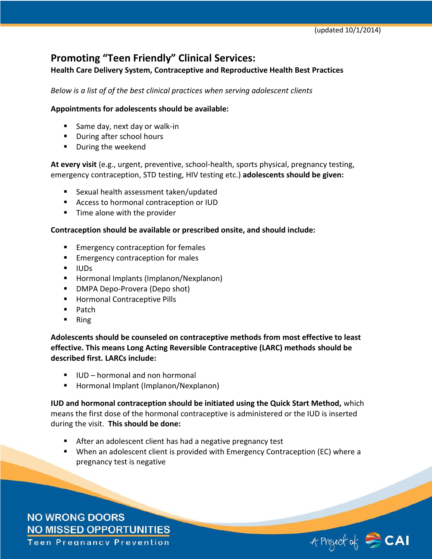# **Promoting "Teen Friendly" Clinical Services:**

**Health Care Delivery System, Contraceptive and Reproductive Health Best Practices**

*Below is a list of of the best clinical practices when serving adolescent clients*

## **Appointments for adolescents should be available:**

- Same day, next day or walk-in
- **During after school hours**
- **During the weekend**

**At every visit** (e.g., urgent, preventive, school-health, sports physical, pregnancy testing, emergency contraception, STD testing, HIV testing etc.) **adolescents should be given:**

- Sexual health assessment taken/updated
- Access to hormonal contraception or IUD
- $\blacksquare$  Time alone with the provider

## **Contraception should be available or prescribed onsite, and should include:**

- **Emergency contraception for females**
- **Emergency contraception for males**
- **I**UDs
- **Hormonal Implants (Implanon/Nexplanon)**
- DMPA Depo-Provera (Depo shot)
- **Hormonal Contraceptive Pills**
- $\blacksquare$  Patch
- $\blacksquare$  Ring

**Adolescents should be counseled on contraceptive methods from most effective to least effective. This means Long Acting Reversible Contraceptive (LARC) methods should be described first. LARCs include:**

- $\blacksquare$  IUD hormonal and non hormonal
- Hormonal Implant (Implanon/Nexplanon)

**IUD and hormonal contraception should be initiated using the Quick Start Method,** which means the first dose of the hormonal contraceptive is administered or the IUD is inserted during the visit. **This should be done:**

- After an adolescent client has had a negative pregnancy test
- When an adolescent client is provided with Emergency Contraception (EC) where a pregnancy test is negative

**NO WRONG DOORS NO MISSED OPPORTUNITIES Teen Pregnancy Prevention** 

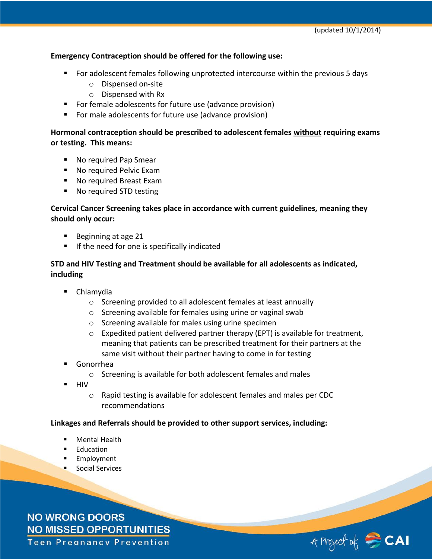#### **Emergency Contraception should be offered for the following use:**

- For adolescent females following unprotected intercourse within the previous 5 days
	- o Dispensed on-site
	- o Dispensed with Rx
- For female adolescents for future use (advance provision)
- For male adolescents for future use (advance provision)

## **Hormonal contraception should be prescribed to adolescent females without requiring exams or testing. This means:**

- No required Pap Smear
- No required Pelvic Exam
- No required Breast Exam
- No required STD testing

# **Cervical Cancer Screening takes place in accordance with current guidelines, meaning they should only occur:**

- Beginning at age 21
- **If the need for one is specifically indicated**

# **STD and HIV Testing and Treatment should be available for all adolescents as indicated, including**

- **Chlamydia** 
	- o Screening provided to all adolescent females at least annually
	- o Screening available for females using urine or vaginal swab
	- o Screening available for males using urine specimen
	- $\circ$  Expedited patient delivered partner therapy (EPT) is available for treatment, meaning that patients can be prescribed treatment for their partners at the same visit without their partner having to come in for testing
- Gonorrhea
	- o Screening is available for both adolescent females and males
- $H<sub>H</sub>$ 
	- o Rapid testing is available for adolescent females and males per CDC recommendations

#### **Linkages and Referrals should be provided to other support services, including:**

- Mental Health
- **Education**
- **Employment**
- **Social Services**

**NO WRONG DOORS NO MISSED OPPORTUNITIES Teen Pregnancy Prevention**